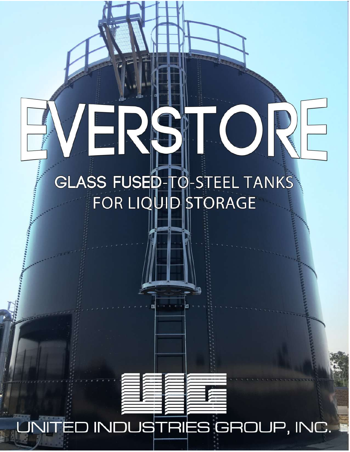## **GLASS FUSED-TO-STEEL TANKS** FOR LIQUID STORAGE

## UNITED INDUSTRIES GROUP, INC.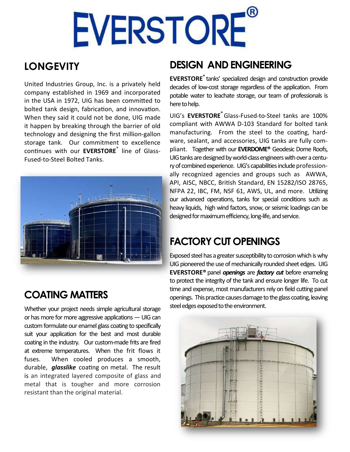# EVERSTORE®

#### **LONGEVITY**

United Industries Group, Inc. is a privately held company established in 1969 and incorporated in the USA in 1972, UIG has been committed to bolted tank design, fabrication, and innovation. When they said it could not be done, UIG made it happen by breaking through the barrier of old technology and designing the first million-gallon storage tank. Our commitment to excellence continues with our **EVERSTORE**<sup>®</sup> line of Glass-Fused-to-Steel Bolted Tanks.



COATING MATTERS

Whether your project needs simple agricultural storage or has more for more aggressive applications — UIG can custom formulate our enamel glass coating to specifically suit your application for the best and most durable coating in the industry. Our custom-made frits are fired at extreme temperatures. When the frit flows it fuses. When cooled produces a smooth, durable, *glasslike* coating on metal. The result is an integrated layered composite of glass and metal that is tougher and more corrosion resistant than the original material.

#### DESIGN AND ENGINEERING

EVERSTORE® tanks' specialized design and construction provide decades of low-cost storage regardless of the application. From potable water to leachate storage, our team of professionals is here to help.

UIG's EVERSTORE<sup>®</sup> Glass-Fused-to-Steel tanks are 100% compliant with AWWA D-103 Standard for bolted tank manufacturing. From the steel to the coating, hardware, sealant, and accessories, UIG tanks are fully compliant. Together with our EVERDOME<sup>®</sup> Geodesic Dome Roofs, UIG tanks are designed by world-class engineers with over a century of combined experience. UIG's capabilities include professionally recognized agencies and groups such as AWWA, API, AISC, NBCC, British Standard, EN 15282/ISO 28765, NFPA 22, IBC, FM, NSF 61, AWS, UL, and more. Utilizing our advanced operations, tanks for special conditions such as heavy liquids, high wind factors, snow, or seismic loadings can be designed for maximum efficiency, long-life, and service.

#### FACTORY CUT OPENINGS

Exposed steel has a greater susceptibility to corrosion which is why UIG pioneered the use of mechanically rounded sheet edges. UIG EVERSTORE<sup>®</sup> panel *openings* are *factory cut* before enameling to protect the integrity of the tank and ensure longer life. To cut time and expense, most manufacturers rely on field cutting panel openings. This practice causes damage to the glass coating, leaving steel edges exposed to the environment.

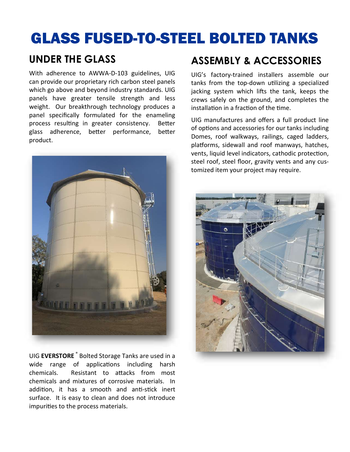## GLASS FUSED-TO-STEEL BOLTED TANKS

#### UNDER THE GLASS

With adherence to AWWA-D-103 guidelines, UIG can provide our proprietary rich carbon steel panels which go above and beyond industry standards. UIG panels have greater tensile strength and less weight. Our breakthrough technology produces a panel specifically formulated for the enameling process resulting in greater consistency. Better glass adherence, better performance, better product.



UIG EVERSTORE<sup>®</sup> Bolted Storage Tanks are used in a wide range of applications including harsh chemicals. Resistant to attacks from most chemicals and mixtures of corrosive materials. In addition, it has a smooth and anti-stick inert surface. It is easy to clean and does not introduce impurities to the process materials.

#### ASSEMBLY & ACCESSORIES

UIG's factory-trained installers assemble our tanks from the top-down utilizing a specialized jacking system which lifts the tank, keeps the crews safely on the ground, and completes the installation in a fraction of the time.

UIG manufactures and offers a full product line of options and accessories for our tanks including Domes, roof walkways, railings, caged ladders, platforms, sidewall and roof manways, hatches, vents, liquid level indicators, cathodic protection, steel roof, steel floor, gravity vents and any customized item your project may require.

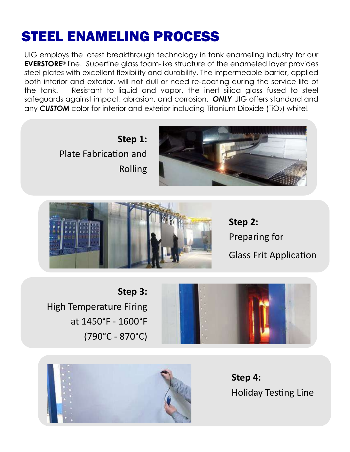## STEEL ENAMELING PROCESS

UIG employs the latest breakthrough technology in tank enameling industry for our **EVERSTORE<sup>®</sup>** line. Superfine glass foam-like structure of the enameled layer provides steel plates with excellent flexibility and durability. The impermeable barrier, applied both interior and exterior, will not dull or need re-coating during the service life of the tank. Resistant to liquid and vapor, the inert silica glass fused to steel safeguards against impact, abrasion, and corrosion. ONLY UIG offers standard and any CUSTOM color for interior and exterior including Titanium Dioxide (TiO<sub>2</sub>) white!

> Step 1: Plate Fabrication and Rolling





Step 2: Preparing for Glass Frit Application

Step 3: High Temperature Firing at 1450°F - 1600°F  $(790^{\circ}C - 870^{\circ}C)$ 





Step 4: Holiday Testing Line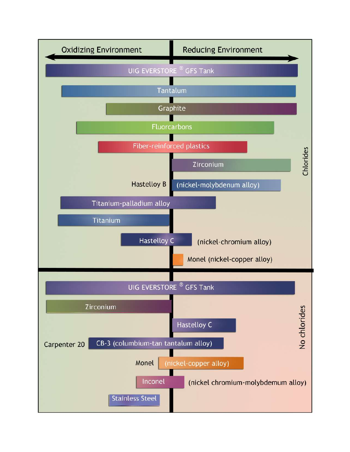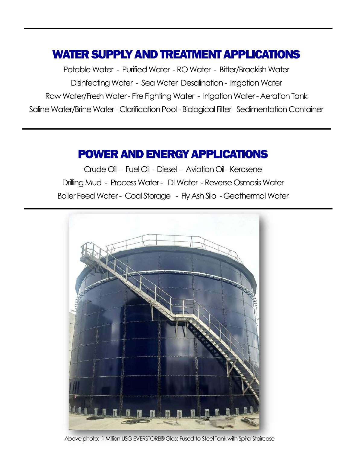#### WATER SUPPLY AND TREATMENT APPLICATIONS

Potable Water - Purified Water - RO Water - Bitter/Brackish Water Disinfecting Water - Sea Water Desalination - Irrigation Water Raw Water/Fresh Water - Fire Fighting Water - Irrigation Water - Aeration Tank Saline Water/Brine Water - Clarification Pool - Biological Filter - Sedimentation Container

#### POWER AND ENERGY APPLICATIONS

Crude Oil - Fuel Oil - Diesel - Aviation Oil - Kerosene Drilling Mud - Process Water - DI Water - Reverse Osmosis Water Boiler Feed Water - Coal Storage - Fly Ash Silo - Geothermal Water



Above photo: 1 Million USG EVERSTORE® Glass Fused-to-Steel Tank with Spiral Staircase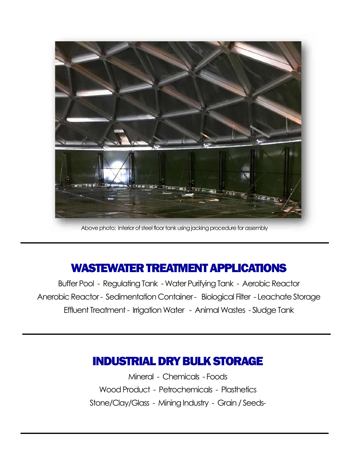

Above photo: Interior of steel floor tank using jacking procedure for assembly

#### WASTEWATER TREATMENT APPLICATIONS

Buffer Pool - Regulating Tank -Water Purifying Tank - Aerobic Reactor Anerobic Reactor - Sedimentation Container - Biological Filter - Leachate Storage Effluent Treatment - Irrigation Water - Animal Wastes - Sludge Tank

#### INDUSTRIAL DRY BULK STORAGE

Mineral - Chemicals - Foods Wood Product - Petrochemicals - Plasthetics Stone/Clay/Glass - Mining Industry - Grain / Seeds-